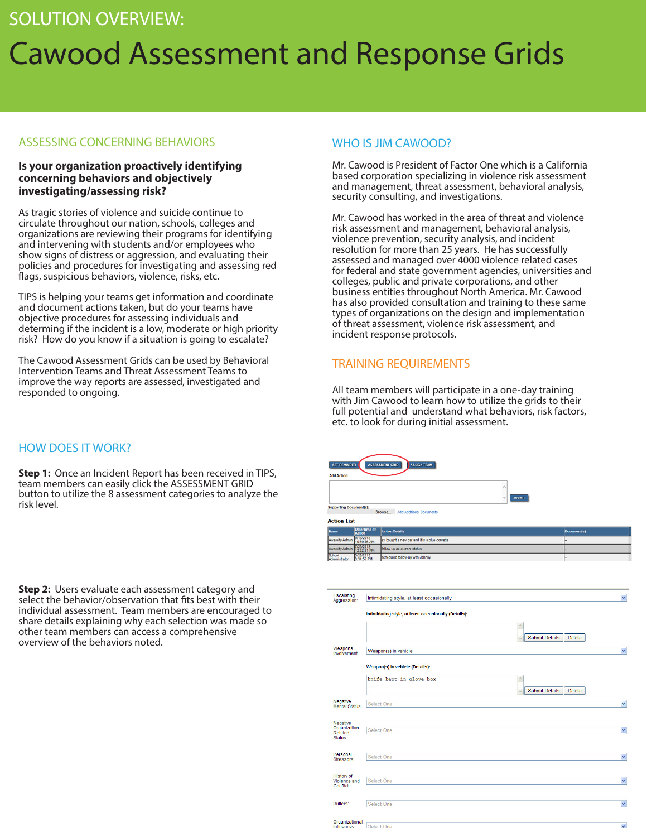# SOLUTION OVERVIEW: Cawood Assessment and Response Grids

#### ASSESSING CONCERNING BEHAVIORS

#### **Is your organization proactively identifying concerning behaviors and objectively investigating/assessing risk?**

As tragic stories of violence and suicide continue to circulate throughout our nation, schools, colleges and organizations are reviewing their programs for identifying and intervening with students and/or employees who show signs of distress or aggression, and evaluating their policies and procedures for investigating and assessing red flags, suspicious behaviors, violence, risks, etc.

TIPS is helping your teams get information and coordinate and document actions taken, but do your teams have objective procedures for assessing individuals and determing if the incident is a low, moderate or high priority risk? How do you know if a situation is going to escalate?

The Cawood Assessment Grids can be used by Behavioral Intervention Teams and Threat Assessment Teams to improve the way reports are assessed, investigated and responded to ongoing.

### HOW DOES IT WORK?

**Step 1:** Once an Incident Report has been received in TIPS, team members can easily click the ASSESSMENT GRID button to utilize the 8 assessment categories to analyze the risk level.

**Step 2:** Users evaluate each assessment category and select the behavior/observation that fits best with their individual assessment. Team members are encouraged to share details explaining why each selection was made so other team members can access a comprehensive overview of the behaviors noted.

### WHO IS JIM CAWOOD?

Mr. Cawood is President of Factor One which is a California based corporation specializing in violence risk assessment and management, threat assessment, behavioral analysis, security consulting, and investigations.

Mr. Cawood has worked in the area of threat and violence risk assessment and management, behavioral analysis, violence prevention, security analysis, and incident resolution for more than 25 years. He has successfully assessed and managed over 4000 violence related cases for federal and state government agencies, universities and colleges, public and private corporations, and other business entities throughout North America. Mr. Cawood has also provided consultation and training to these same types of organizations on the design and implementation of threat assessment, violence risk assessment, and incident response protocols.

### TRAINING REQUIREMENTS

All team members will participate in a one-day training with Jim Cawood to learn how to utilize the grids to their full potential and understand what behaviors, risk factors, etc. to look for during initial assessment.

| <b>Add Action:</b>             | ASSIGN TEAM<br><b>SET REMINDER</b><br><b>ASSESSMENT GRID</b> |                                               |             |  |  |  |  |
|--------------------------------|--------------------------------------------------------------|-----------------------------------------------|-------------|--|--|--|--|
| <b>Supporting Document(s):</b> |                                                              | Α<br><b>SUBMIT</b><br>ν                       |             |  |  |  |  |
| <b>Action List</b>             |                                                              | Browse<br>Add Additional Documents            |             |  |  |  |  |
| <b>Name</b>                    | Date/Time of<br><b>Action</b>                                | <b>Action/Details</b>                         | Document(s) |  |  |  |  |
| Awareity Admin                 | 9/18/2013<br>10:59:56 AM                                     | ex bought a new car and it is a blue corvette |             |  |  |  |  |
| Awarely Admin                  | 7/25/2013<br>12:32:31 PM                                     | follow up on current status                   |             |  |  |  |  |
| School<br>Administrator        | 5/28/2013<br>3:34:55 PM                                      | scheduled follow-up with Johnny               |             |  |  |  |  |

| Escalating<br>Aggression:                      | Intimidating style, at least occasionally            |                                                    |
|------------------------------------------------|------------------------------------------------------|----------------------------------------------------|
|                                                | Intimidating style, at least occasionally (Details): |                                                    |
|                                                |                                                      | $\wedge$<br><b>Submit Details</b><br>Delete        |
| Weapons<br>Involvement:                        | Weapon(s) in vehicle                                 |                                                    |
|                                                | Weapon(s) in vehicle (Details):                      |                                                    |
|                                                | knife kept in glove box                              | $\wedge$<br><b>Submit Details</b><br><b>Delete</b> |
| Negative<br>Mental Status:                     | Select One                                           |                                                    |
| Negative<br>Organization<br>Related<br>Status: | Select One                                           |                                                    |
| Personal<br>Stressors:                         | Select One                                           |                                                    |
| <b>History of</b><br>Violence and<br>Conflict  | Select One                                           |                                                    |
| Buffers:                                       | <b>Select One</b>                                    |                                                    |
|                                                |                                                      |                                                    |